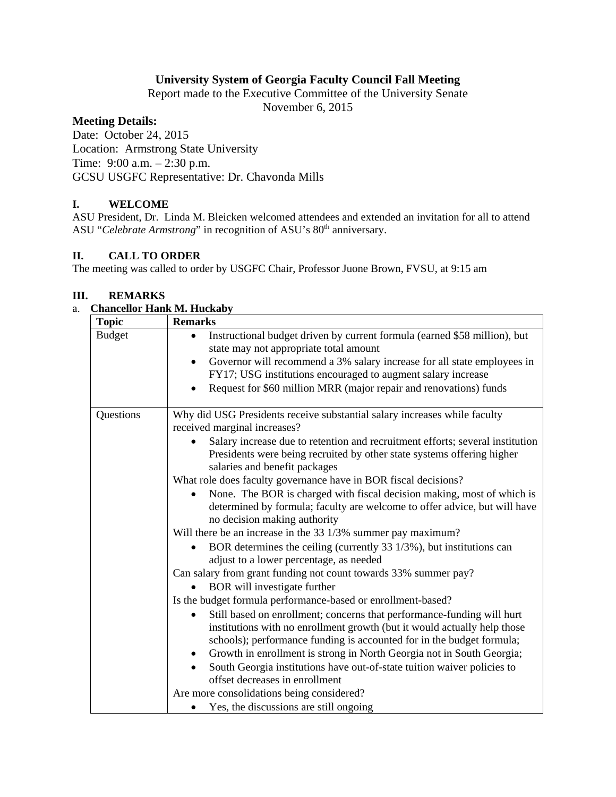# **University System of Georgia Faculty Council Fall Meeting**

Report made to the Executive Committee of the University Senate

November 6, 2015

### **Meeting Details:**

Date: October 24, 2015 Location: Armstrong State University Time: 9:00 a.m. – 2:30 p.m. GCSU USGFC Representative: Dr. Chavonda Mills

# **I. WELCOME**

ASU President, Dr. Linda M. Bleicken welcomed attendees and extended an invitation for all to attend ASU "*Celebrate Armstrong*" in recognition of ASU's 80<sup>th</sup> anniversary.

### **II. CALL TO ORDER**

The meeting was called to order by USGFC Chair, Professor Juone Brown, FVSU, at 9:15 am

### **III. REMARKS**

#### a. **Chancellor Hank M. Huckaby**

| <b>Topic</b>  | <b>Remarks</b>                                                                                                                                                                                                              |
|---------------|-----------------------------------------------------------------------------------------------------------------------------------------------------------------------------------------------------------------------------|
| <b>Budget</b> | Instructional budget driven by current formula (earned \$58 million), but<br>$\bullet$<br>state may not appropriate total amount                                                                                            |
|               | Governor will recommend a 3% salary increase for all state employees in                                                                                                                                                     |
|               | FY17; USG institutions encouraged to augment salary increase                                                                                                                                                                |
|               | Request for \$60 million MRR (major repair and renovations) funds                                                                                                                                                           |
| Questions     | Why did USG Presidents receive substantial salary increases while faculty<br>received marginal increases?                                                                                                                   |
|               | Salary increase due to retention and recruitment efforts; several institution<br>Presidents were being recruited by other state systems offering higher<br>salaries and benefit packages                                    |
|               | What role does faculty governance have in BOR fiscal decisions?                                                                                                                                                             |
|               | None. The BOR is charged with fiscal decision making, most of which is<br>determined by formula; faculty are welcome to offer advice, but will have<br>no decision making authority                                         |
|               | Will there be an increase in the 33 1/3% summer pay maximum?                                                                                                                                                                |
|               | BOR determines the ceiling (currently 33 1/3%), but institutions can<br>adjust to a lower percentage, as needed                                                                                                             |
|               | Can salary from grant funding not count towards 33% summer pay?                                                                                                                                                             |
|               | BOR will investigate further                                                                                                                                                                                                |
|               | Is the budget formula performance-based or enrollment-based?                                                                                                                                                                |
|               | Still based on enrollment; concerns that performance-funding will hurt<br>institutions with no enrollment growth (but it would actually help those<br>schools); performance funding is accounted for in the budget formula; |
|               | Growth in enrollment is strong in North Georgia not in South Georgia;<br>٠                                                                                                                                                  |
|               | South Georgia institutions have out-of-state tuition waiver policies to                                                                                                                                                     |
|               | offset decreases in enrollment                                                                                                                                                                                              |
|               | Are more consolidations being considered?                                                                                                                                                                                   |
|               | Yes, the discussions are still ongoing                                                                                                                                                                                      |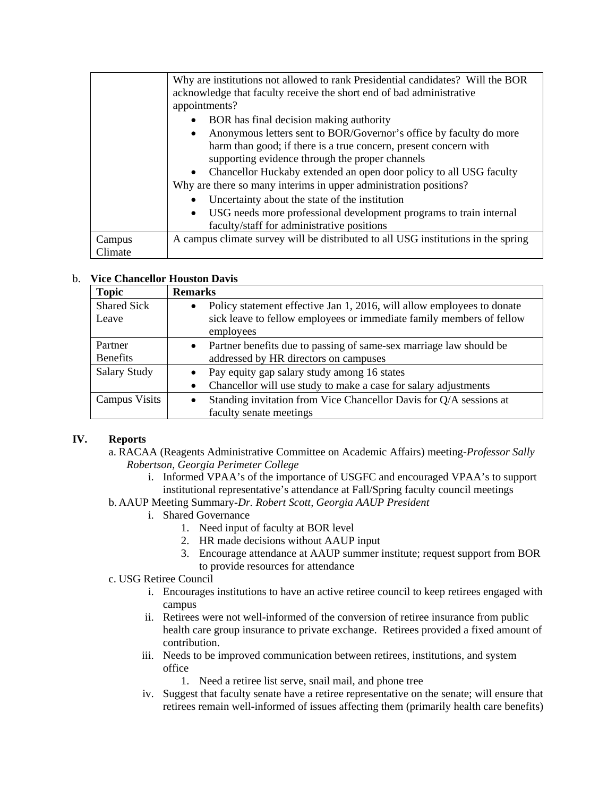|         | Why are institutions not allowed to rank Presidential candidates? Will the BOR<br>acknowledge that faculty receive the short end of bad administrative<br>appointments? |
|---------|-------------------------------------------------------------------------------------------------------------------------------------------------------------------------|
|         | BOR has final decision making authority                                                                                                                                 |
|         | Anonymous letters sent to BOR/Governor's office by faculty do more<br>$\bullet$                                                                                         |
|         | harm than good; if there is a true concern, present concern with                                                                                                        |
|         | supporting evidence through the proper channels                                                                                                                         |
|         | • Chancellor Huckaby extended an open door policy to all USG faculty                                                                                                    |
|         | Why are there so many interims in upper administration positions?                                                                                                       |
|         | Uncertainty about the state of the institution                                                                                                                          |
|         | USG needs more professional development programs to train internal                                                                                                      |
|         | faculty/staff for administrative positions                                                                                                                              |
| Campus  | A campus climate survey will be distributed to all USG institutions in the spring                                                                                       |
| Climate |                                                                                                                                                                         |

# b. **Vice Chancellor Houston Davis**

| <b>Topic</b>        | <b>Remarks</b>                                                                      |
|---------------------|-------------------------------------------------------------------------------------|
| <b>Shared Sick</b>  | Policy statement effective Jan 1, 2016, will allow employees to donate<br>$\bullet$ |
| Leave               | sick leave to fellow employees or immediate family members of fellow                |
|                     | employees                                                                           |
| Partner             | Partner benefits due to passing of same-sex marriage law should be<br>$\bullet$     |
| <b>Benefits</b>     | addressed by HR directors on campuses                                               |
| <b>Salary Study</b> | Pay equity gap salary study among 16 states                                         |
|                     | Chancellor will use study to make a case for salary adjustments<br>$\bullet$        |
| Campus Visits       | Standing invitation from Vice Chancellor Davis for Q/A sessions at<br>$\bullet$     |
|                     | faculty senate meetings                                                             |

# **IV. Reports**

- a. RACAA (Reagents Administrative Committee on Academic Affairs) meeting-*Professor Sally Robertson, Georgia Perimeter College* 
	- i. Informed VPAA's of the importance of USGFC and encouraged VPAA's to support institutional representative's attendance at Fall/Spring faculty council meetings
- b. AAUP Meeting Summary-*Dr. Robert Scott, Georgia AAUP President* 
	- i. Shared Governance
		- 1. Need input of faculty at BOR level
		- 2. HR made decisions without AAUP input
		- 3. Encourage attendance at AAUP summer institute; request support from BOR to provide resources for attendance
- c. USG Retiree Council
	- i. Encourages institutions to have an active retiree council to keep retirees engaged with campus
	- ii. Retirees were not well-informed of the conversion of retiree insurance from public health care group insurance to private exchange. Retirees provided a fixed amount of contribution.
	- iii. Needs to be improved communication between retirees, institutions, and system office
		- 1. Need a retiree list serve, snail mail, and phone tree
	- iv. Suggest that faculty senate have a retiree representative on the senate; will ensure that retirees remain well-informed of issues affecting them (primarily health care benefits)